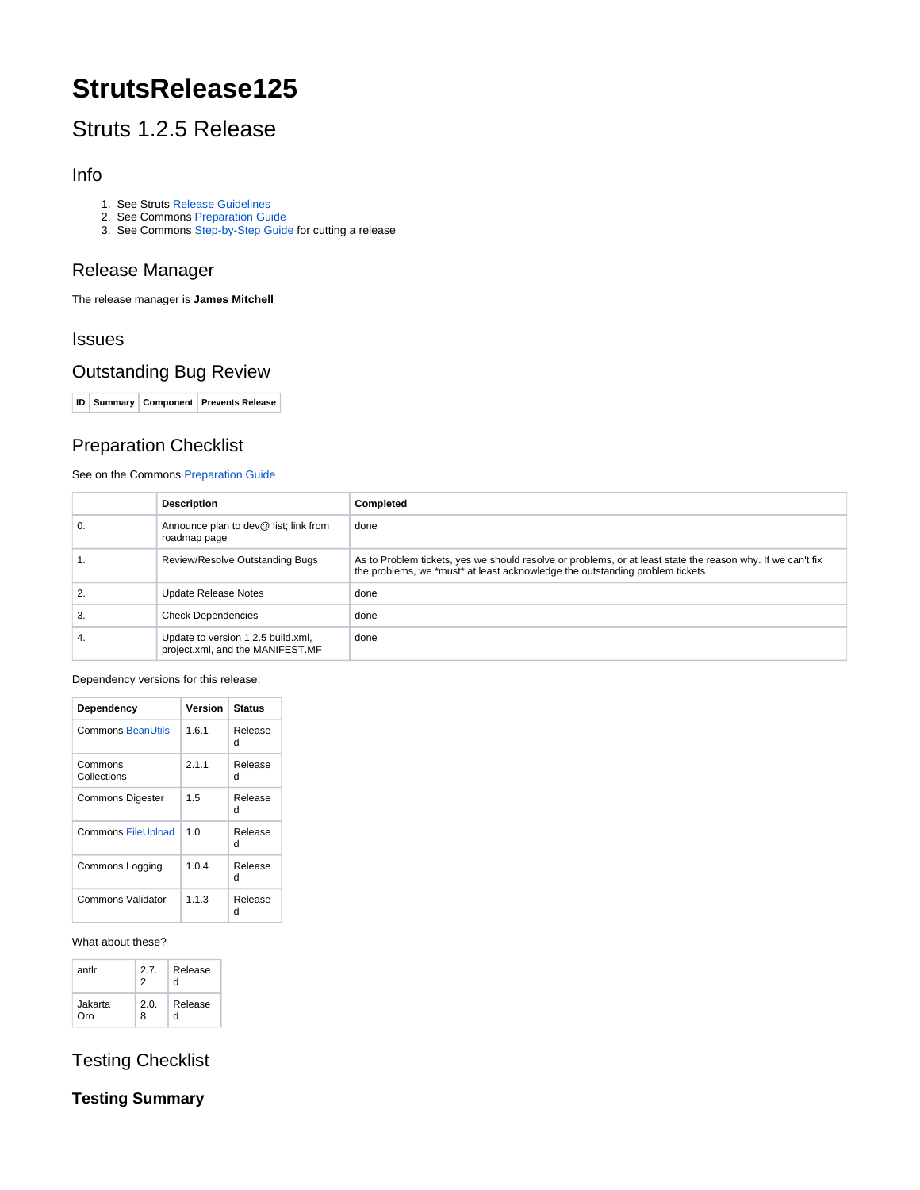# **StrutsRelease125**

## Struts 1.2.5 Release

## Info

- 1. See Struts [Release Guidelines](http://struts.apache.org/releases.html#Releases)
- 2. See Commons [Preparation Guide](http://jakarta.apache.org/commons/releases/prepare.html)
- 3. See Commons [Step-by-Step Guide](http://jakarta.apache.org/commons/releases/release.html) for cutting a release

## Release Manager

The release manager is **James Mitchell**

## Issues

## Outstanding Bug Review

**ID Summary Component Prevents Release**

## Preparation Checklist

#### See on the Commons [Preparation Guide](http://jakarta.apache.org/commons/releases/prepare.html)

|    | <b>Description</b>                                                     | <b>Completed</b>                                                                                                                                                                             |
|----|------------------------------------------------------------------------|----------------------------------------------------------------------------------------------------------------------------------------------------------------------------------------------|
| 0. | Announce plan to dev@ list; link from<br>roadmap page                  | done                                                                                                                                                                                         |
|    | Review/Resolve Outstanding Bugs                                        | As to Problem tickets, yes we should resolve or problems, or at least state the reason why. If we can't fix<br>the problems, we *must* at least acknowledge the outstanding problem tickets. |
| 2. | Update Release Notes                                                   | done                                                                                                                                                                                         |
| 3. | <b>Check Dependencies</b>                                              | done                                                                                                                                                                                         |
| 4. | Update to version 1.2.5 build.xml,<br>project.xml, and the MANIFEST.MF | done                                                                                                                                                                                         |

#### Dependency versions for this release:

| Dependency                | Version | Status       |
|---------------------------|---------|--------------|
| <b>Commons BeanUtils</b>  | 1.6.1   | Release<br>d |
| Commons<br>Collections    | 2.1.1   | Release<br>d |
| <b>Commons Digester</b>   | 1.5     | Release<br>Ч |
| <b>Commons FileUpload</b> | 1.0     | Release<br>d |
| Commons Logging           | 1.0.4   | Release<br>d |
| Commons Validator         | 1.1.3   | Release<br>d |

#### What about these?

| antlr   | 2.7.<br>2 | Release<br>d |
|---------|-----------|--------------|
| Jakarta | 2.0.      | Release      |
| Oro     | 8         | d            |

## Testing Checklist

### **Testing Summary**